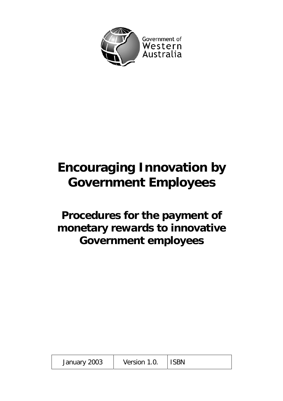

# **Encouraging Innovation by Government Employees**

**Procedures for the payment of monetary rewards to innovative Government employees** 

| January 2003 | Version 1.0. | ISBN |
|--------------|--------------|------|
|--------------|--------------|------|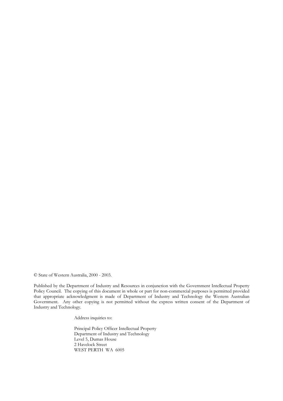© State of Western Australia, 2000 - 2003.

Published by the Department of Industry and Resources in conjunction with the Government Intellectual Property Policy Council. The copying of this document in whole or part for non-commercial purposes is permitted provided that appropriate acknowledgment is made of Department of Industry and Technology the Western Australian Government. Any other copying is not permitted without the express written consent of the Department of Industry and Technology.

Address inquiries to:

Principal Policy Officer Intellectual Property Department of Industry and Technology Level 5, Dumas House 2 Havelock Street WEST PERTH WA 6005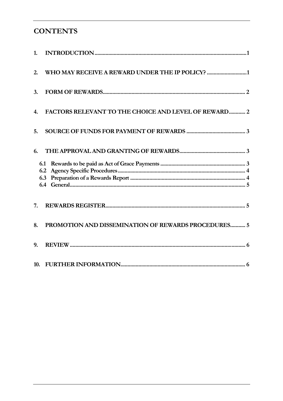# **CONTENTS**

| 1.  |                                                      |
|-----|------------------------------------------------------|
| 2.  | WHO MAY RECEIVE A REWARD UNDER THE IP POLICY? 1      |
| 3.  |                                                      |
| 4.  | FACTORS RELEVANT TO THE CHOICE AND LEVEL OF REWARD 2 |
| 5.  |                                                      |
| 6.  |                                                      |
|     | 6.1<br>6.2<br>6.3                                    |
| 7.  |                                                      |
| 8.  | PROMOTION AND DISSEMINATION OF REWARDS PROCEDURES 5  |
| 9.  |                                                      |
| 10. |                                                      |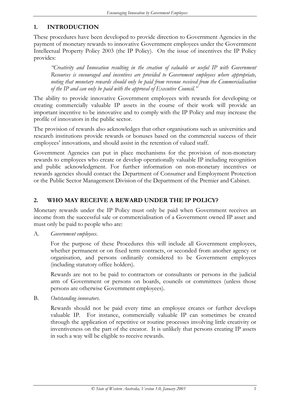# <span id="page-3-0"></span>**1. INTRODUCTION**

These procedures have been developed to provide direction to Government Agencies in the payment of monetary rewards to innovative Government employees under the Government Intellectual Property Policy 2003 (the IP Policy). On the issue of incentives the IP Policy provides:

*"Creativity and Innovation resulting in the creation of valuable or useful IP with Government Resources is encouraged and incentives are provided to Government employees where appropriate, noting that monetary rewards should only be paid from revenue received from the Commercialisation of the IP and can only be paid with the approval of Executive Council."*

The ability to provide innovative Government employees with rewards for developing or creating commercially valuable IP assets in the course of their work will provide an important incentive to be innovative and to comply with the IP Policy and may increase the profile of innovators in the public sector.

The provision of rewards also acknowledges that other organisations such as universities and research institutions provide rewards or bonuses based on the commercial success of their employees' innovations, and should assist in the retention of valued staff.

Government Agencies can put in place mechanisms for the provision of non-monetary rewards to employees who create or develop operationally valuable IP including recognition and public acknowledgment. For further information on non-monetary incentives or rewards agencies should contact the Department of Consumer and Employment Protection or the Public Sector Management Division of the Department of the Premier and Cabinet.

# **2. WHO MAY RECEIVE A REWARD UNDER THE IP POLICY?**

Monetary rewards under the IP Policy must only be paid when Government receives an income from the successful sale or commercialisation of a Government owned IP asset and must only be paid to people who are:

A. *Government employees*.

For the purpose of these Procedures this will include all Government employees, whether permanent or on fixed term contracts, or seconded from another agency or organisation, and persons ordinarily considered to be Government employees (including statutory office holders).

Rewards are not to be paid to contractors or consultants or persons in the judicial arm of Government or persons on boards, councils or committees (unless those persons are otherwise Government employees).

B. *Outstanding innovators*.

Rewards should not be paid every time an employee creates or further develops valuable IP. For instance, commercially valuable IP can sometimes be created through the application of repetitive or routine processes involving little creativity or inventiveness on the part of the creator. It is unlikely that persons creating IP assets in such a way will be eligible to receive rewards.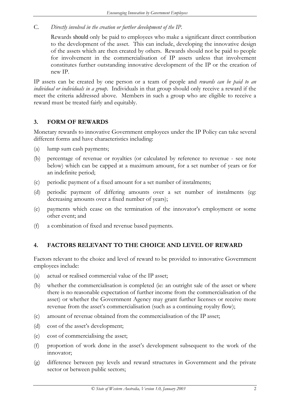<span id="page-4-0"></span>C. *Directly involved in the creation or further development of the IP*.

Rewards should only be paid to employees who make a significant direct contribution to the development of the asset. This can include, developing the innovative design of the assets which are then created by others. Rewards should not be paid to people for involvement in the commercialisation of IP assets unless that involvement constitutes further outstanding innovative development of the IP or the creation of new IP.

IP assets can be created by one person or a team of people and *rewards can be paid to an individual or individuals in a group*. Individuals in that group should only receive a reward if the meet the criteria addressed above. Members in such a group who are eligible to receive a reward must be treated fairly and equitably.

### **3. FORM OF REWARDS**

Monetary rewards to innovative Government employees under the IP Policy can take several different forms and have characteristics including:

- (a) lump sum cash payments;
- (b) percentage of revenue or royalties (or calculated by reference to revenue see note below) which can be capped at a maximum amount, for a set number of years or for an indefinite period;
- (c) periodic payment of a fixed amount for a set number of instalments;
- (d) periodic payment of differing amounts over a set number of instalments (eg: decreasing amounts over a fixed number of years);
- (e) payments which cease on the termination of the innovator's employment or some other event; and
- (f) a combination of fixed and revenue based payments.

# **4. FACTORS RELEVANT TO THE CHOICE AND LEVEL OF REWARD**

Factors relevant to the choice and level of reward to be provided to innovative Government employees include:

- (a) actual or realised commercial value of the IP asset;
- (b) whether the commercialisation is completed (ie: an outright sale of the asset or where there is no reasonable expectation of further income from the commercialisation of the asset) or whether the Government Agency may grant further licenses or receive more revenue from the asset's commercialisation (such as a continuing royalty flow);
- (c) amount of revenue obtained from the commercialisation of the IP asset;
- (d) cost of the asset's development;
- (e) cost of commercialising the asset;
- (f) proportion of work done in the asset's development subsequent to the work of the innovator;
- (g) difference between pay levels and reward structures in Government and the private sector or between public sectors;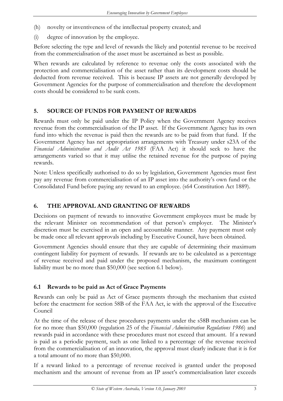- <span id="page-5-0"></span>(h) novelty or inventiveness of the intellectual property created; and
- (i) degree of innovation by the employee.

Before selecting the type and level of rewards the likely and potential revenue to be received from the commercialisation of the asset must be ascertained as best as possible.

When rewards are calculated by reference to revenue only the costs associated with the protection and commercialisation of the asset rather than its development costs should be deducted from revenue received. This is because IP assets are not generally developed by Government Agencies for the purpose of commercialisation and therefore the development costs should be considered to be sunk costs.

# **5. SOURCE OF FUNDS FOR PAYMENT OF REWARDS**

Rewards must only be paid under the IP Policy when the Government Agency receives revenue from the commercialisation of the IP asset. If the Government Agency has its own fund into which the revenue is paid then the rewards are to be paid from that fund. If the Government Agency has net appropriation arrangements with Treasury under s23A of the *Financial Administration and Audit Act 1985* (FAA Act) it should seek to have the arrangements varied so that it may utilise the retained revenue for the purpose of paying rewards.

Note: Unless specifically authorised to do so by legislation, Government Agencies must first pay any revenue from commercialisation of an IP asset into the authority's own fund or the Consolidated Fund before paying any reward to an employee. (s64 Constitution Act 1889).

# **6. THE APPROVAL AND GRANTING OF REWARDS**

Decisions on payment of rewards to innovative Government employees must be made by the relevant Minister on recommendation of that person's employer. The Minister's discretion must be exercised in an open and accountable manner. Any payment must only be made once all relevant approvals including by Executive Council, have been obtained.

Government Agencies should ensure that they are capable of determining their maximum contingent liability for payment of rewards. If rewards are to be calculated as a percentage of revenue received and paid under the proposed mechanism, the maximum contingent liability must be no more than \$50,000 (see section 6.1 below).

# **6.1 Rewards to be paid as Act of Grace Payments**

Rewards can only be paid as Act of Grace payments through the mechanism that existed before the enactment for section 58B of the FAA Act, ie with the approval of the Executive Council

At the time of the release of these procedures payments under the s58B mechanism can be for no more than \$50,000 (regulation 25 of the *Financial Administration Regulations 1986*) and rewards paid in accordance with these procedures must not exceed that amount. If a reward is paid as a periodic payment, such as one linked to a percentage of the revenue received from the commercialisation of an innovation, the approval must clearly indicate that it is for a total amount of no more than \$50,000.

If a reward linked to a percentage of revenue received is granted under the proposed mechanism and the amount of revenue from an IP asset's commercialisation later exceeds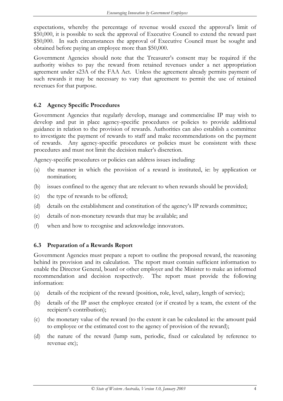<span id="page-6-0"></span>expectations, whereby the percentage of revenue would exceed the approval's limit of \$50,000, it is possible to seek the approval of Executive Council to extend the reward past \$50,000. In such circumstances the approval of Executive Council must be sought and obtained before paying an employee more than \$50,000.

Government Agencies should note that the Treasurer's consent may be required if the authority wishes to pay the reward from retained revenues under a net appropriation agreement under s23A of the FAA Act. Unless the agreement already permits payment of such rewards it may be necessary to vary that agreement to permit the use of retained revenues for that purpose.

### **6.2 Agency Specific Procedures**

Government Agencies that regularly develop, manage and commercialise IP may wish to develop and put in place agency-specific procedures or policies to provide additional guidance in relation to the provision of rewards. Authorities can also establish a committee to investigate the payment of rewards to staff and make recommendations on the payment of rewards. Any agency-specific procedures or policies must be consistent with these procedures and must not limit the decision maker's discretion.

Agency-specific procedures or policies can address issues including:

- (a) the manner in which the provision of a reward is instituted, ie: by application or nomination;
- (b) issues confined to the agency that are relevant to when rewards should be provided;
- (c) the type of rewards to be offered;
- (d) details on the establishment and constitution of the agency's IP rewards committee;
- (e) details of non-monetary rewards that may be available; and
- (f) when and how to recognise and acknowledge innovators.

#### **6.3 Preparation of a Rewards Report**

Government Agencies must prepare a report to outline the proposed reward, the reasoning behind its provision and its calculation. The report must contain sufficient information to enable the Director General, board or other employer and the Minister to make an informed recommendation and decision respectively. The report must provide the following information:

- (a) details of the recipient of the reward (position, role, level, salary, length of service);
- (b) details of the IP asset the employee created (or if created by a team, the extent of the recipient's contribution);
- (c) the monetary value of the reward (to the extent it can be calculated ie: the amount paid to employee or the estimated cost to the agency of provision of the reward);
- (d) the nature of the reward (lump sum, periodic, fixed or calculated by reference to revenue etc);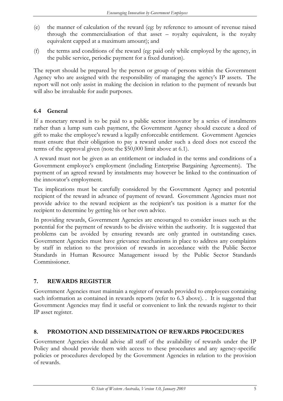- <span id="page-7-0"></span>(e) the manner of calculation of the reward (eg: by reference to amount of revenue raised through the commercialisation of that asset – royalty equivalent, is the royalty equivalent capped at a maximum amount); and
- (f) the terms and conditions of the reward (eg: paid only while employed by the agency, in the public service, periodic payment for a fixed duration).

The report should be prepared by the person or group of persons within the Government Agency who are assigned with the responsibility of managing the agency's IP assets. The report will not only assist in making the decision in relation to the payment of rewards but will also be invaluable for audit purposes.

#### **6.4 General**

If a monetary reward is to be paid to a public sector innovator by a series of instalments rather than a lump sum cash payment, the Government Agency should execute a deed of gift to make the employee's reward a legally enforceable entitlement. Government Agencies must ensure that their obligation to pay a reward under such a deed does not exceed the terms of the approval given (note the \$50,000 limit above at 6.1).

A reward must not be given as an entitlement or included in the terms and conditions of a Government employee's employment (including Enterprise Bargaining Agreements). The payment of an agreed reward by instalments may however be linked to the continuation of the innovator's employment.

Tax implications must be carefully considered by the Government Agency and potential recipient of the reward in advance of payment of reward. Government Agencies must not provide advice to the reward recipient as the recipient's tax position is a matter for the recipient to determine by getting his or her own advice.

In providing rewards, Government Agencies are encouraged to consider issues such as the potential for the payment of rewards to be divisive within the authority. It is suggested that problems can be avoided by ensuring rewards are only granted in outstanding cases. Government Agencies must have grievance mechanisms in place to address any complaints by staff in relation to the provision of rewards in accordance with the Public Sector Standards in Human Resource Management issued by the Public Sector Standards Commissioner.

# **7. REWARDS REGISTER**

Government Agencies must maintain a register of rewards provided to employees containing such information as contained in rewards reports (refer to 6.3 above). . It is suggested that Government Agencies may find it useful or convenient to link the rewards register to their IP asset register.

# **8. PROMOTION AND DISSEMINATION OF REWARDS PROCEDURES**

Government Agencies should advise all staff of the availability of rewards under the IP Policy and should provide them with access to these procedures and any agency-specific policies or procedures developed by the Government Agencies in relation to the provision of rewards.